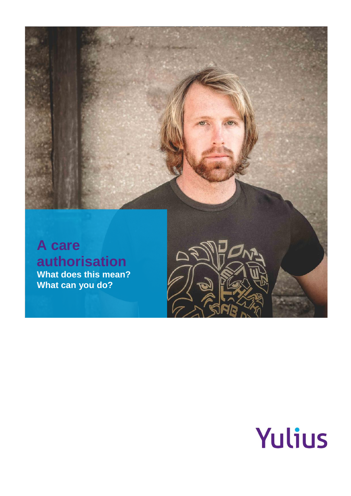

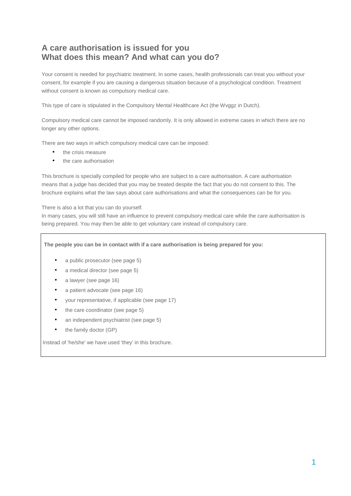# **A care authorisation is issued for you What does this mean? And what can you do?**

Your consent is needed for psychiatric treatment. In some cases, health professionals can treat you without your consent, for example if you are causing a dangerous situation because of a psychological condition. Treatment without consent is known as compulsory medical care.

This type of care is stipulated in the Compulsory Mental Healthcare Act (the Wvggz in Dutch).

Compulsory medical care cannot be imposed randomly. It is only allowed in extreme cases in which there are no longer any other options.

There are two ways in which compulsory medical care can be imposed:

- the crisis measure
- the care authorisation

This brochure is specially compiled for people who are subject to a care authorisation. A care authorisation means that a judge has decided that you may be treated despite the fact that you do not consent to this. The brochure explains what the law says about care authorisations and what the consequences can be for you.

There is also a lot that you can do yourself.

In many cases, you will still have an influence to prevent compulsory medical care while the care authorisation is being prepared. You may then be able to get voluntary care instead of compulsory care.

**The people you can be in contact with if a care authorisation is being prepared for you:** 

- a public prosecutor (see page 5)
- a medical director (see page 5)
- a lawyer (see page 16)
- a patient advocate (see page 16)
- your representative, if applicable (see page 17)
- the care coordinator (see page 5)
- an independent psychiatrist (see page 5)
- the family doctor (GP)

Instead of 'he/she' we have used 'they' in this brochure.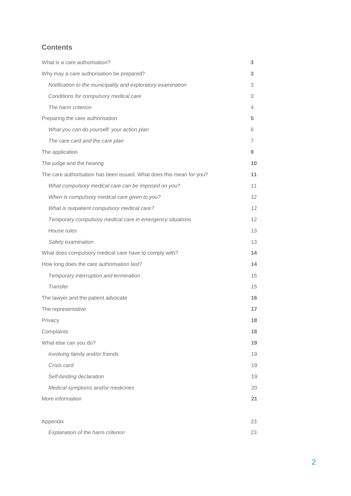# **Contents**

| What is a care authorisation?                                        | 3               |
|----------------------------------------------------------------------|-----------------|
| Why may a care authorisation be prepared?                            | 3               |
| Notification to the municipality and exploratory examination         | 3               |
| Conditions for compulsory medical care                               | 3               |
| The harm criterion                                                   | 4               |
| Preparing the care authorisation                                     | 5               |
| What you can do yourself: your action plan                           | 6               |
| The care card and the care plan                                      | 7               |
| The application                                                      | 9               |
| The judge and the hearing                                            | 10              |
| The care authorisation has been issued. What does this mean for you? | 11              |
| What compulsory medical care can be imposed on you?                  | 11              |
| When is compulsory medical care given to you?                        | 12              |
| What is outpatient compulsory medical care?                          | 12 <sup>2</sup> |
| Temporary compulsory medical care in emergency situations            | 12              |
| House rules                                                          | 13              |
| Safety examination                                                   | 13              |
| What does compulsory medical care have to comply with?               | 14              |
| How long does the care authorisation last?                           | 14              |
| Temporary interruption and termination                               | 15              |
| Transfer                                                             | 15              |
| The lawyer and the patient advocate                                  | 16              |
| The representative                                                   | 17              |
| Privacy                                                              | 18              |
| Complaints                                                           | 18              |
| What else can you do?                                                | 19              |
| Involving family and/or friends                                      | 19              |
| Crisis card                                                          | 19              |
| Self-binding declaration                                             | 19              |
| Medical symptoms and/or medicines                                    | 20              |
| More information                                                     | 21              |
|                                                                      |                 |
| Appendix                                                             | 23              |
| Explanation of the harm criterion                                    | 23              |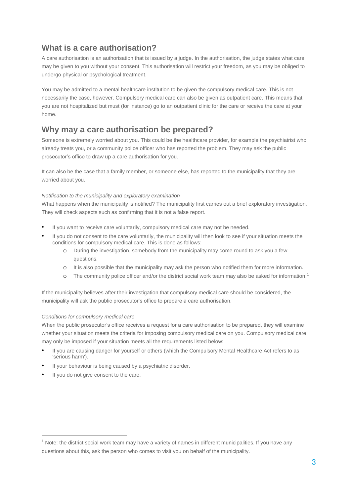# **What is a care authorisation?**

A care authorisation is an authorisation that is issued by a judge. In the authorisation, the judge states what care may be given to you without your consent. This authorisation will restrict your freedom, as you may be obliged to undergo physical or psychological treatment.

You may be admitted to a mental healthcare institution to be given the compulsory medical care. This is not necessarily the case, however. Compulsory medical care can also be given as outpatient care. This means that you are not hospitalized but must (for instance) go to an outpatient clinic for the care or receive the care at your home.

# **Why may a care authorisation be prepared?**

Someone is extremely worried about you. This could be the healthcare provider, for example the psychiatrist who already treats you, or a community police officer who has reported the problem. They may ask the public prosecutor's office to draw up a care authorisation for you.

It can also be the case that a family member, or someone else, has reported to the municipality that they are worried about you.

# *Notification to the municipality and exploratory examination*

What happens when the municipality is notified? The municipality first carries out a brief exploratory investigation. They will check aspects such as confirming that it is not a false report.

- If you want to receive care voluntarily, compulsory medical care may not be needed.
- If you do not consent to the care voluntarily, the municipality will then look to see if your situation meets the conditions for compulsory medical care. This is done as follows:
	- o During the investigation, somebody from the municipality may come round to ask you a few questions.
	- o It is also possible that the municipality may ask the person who notified them for more information.
	- o The community police officer and/or the district social work team may also be asked for information.<sup>1</sup>

If the municipality believes after their investigation that compulsory medical care should be considered, the municipality will ask the public prosecutor's office to prepare a care authorisation.

# *Conditions for compulsory medical care*

When the public prosecutor's office receives a request for a care authorisation to be prepared, they will examine whether your situation meets the criteria for imposing compulsory medical care on you. Compulsory medical care may only be imposed if your situation meets all the requirements listed below:

- If you are causing danger for yourself or others (which the Compulsory Mental Healthcare Act refers to as 'serious harm').
- If your behaviour is being caused by a psychiatric disorder.
- If you do not give consent to the care.

 $\overline{a}$ 

<sup>1</sup> Note: the district social work team may have a variety of names in different municipalities. If you have any questions about this, ask the person who comes to visit you on behalf of the municipality.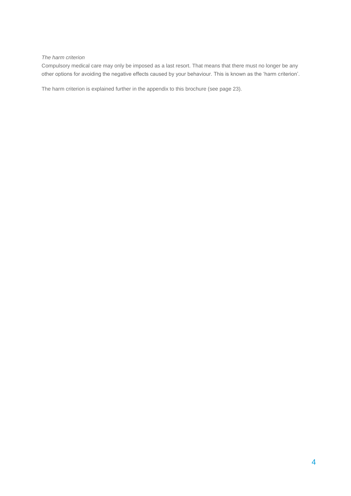## *The harm criterion*

Compulsory medical care may only be imposed as a last resort. That means that there must no longer be any other options for avoiding the negative effects caused by your behaviour. This is known as the 'harm criterion'.

The harm criterion is explained further in the appendix to this brochure (see page 23).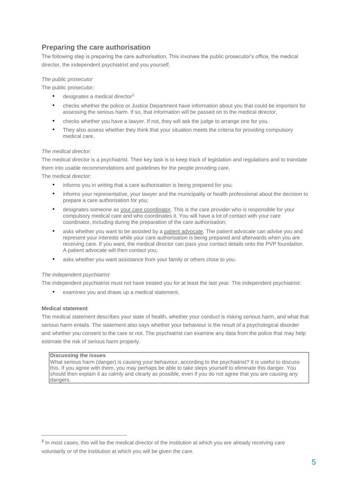# **Preparing the care authorisation**

The following step is preparing the care authorisation. This involves the public prosecutor's office, the medical director, the independent psychiatrist and you yourself.

## *The public prosecutor*

The public prosecutor:

- designates a medical director<sup>2</sup>
- checks whether the police or Justice Department have information about you that could be important for assessing the serious harm. If so, that information will be passed on to the medical director,
- checks whether you have a lawyer. If not, they will ask the judge to arrange one for you.
- They also assess whether they think that your situation meets the criteria for providing compulsory medical care.

## *The medical director:*

The medical director is a psychiatrist. Their key task is to keep track of legislation and regulations and to translate them into usable recommendations and guidelines for the people providing care. The medical director:

- informs you in writing that a care authorisation is being prepared for you:
- informs your representative, your lawyer and the municipality or health professional about the decision to prepare a care authorisation for you;
- designates someone as your care coordinator. This is the care provider who is responsible for your compulsory medical care and who coordinates it. You will have a lot of contact with your care coordinator, including during the preparation of the care authorisation;
- asks whether you want to be assisted by a patient advocate. The patient advocate can advise you and represent your interests while your care authorisation is being prepared and afterwards when you are receiving care. If you want, the medical director can pass your contact details onto the PVP foundation. A patient advocate will then contact you;
- asks whether you want assistance from your family or others close to you.

# *The independent psychiatrist*

The independent psychiatrist must not have treated you for at least the last year. The independent psychiatrist:

examines you and draws up a medical statement.

## **Medical statement**

 $\overline{a}$ 

The medical statement describes your state of health, whether your conduct is risking serious harm, and what that serious harm entails. The statement also says whether your behaviour is the result of a psychological disorder and whether you consent to the care or not. The psychiatrist can examine any data from the police that may help estimate the risk of serious harm properly.

## **Discussing the issues**

What serious harm (danger) is causing your behaviour, according to the psychiatrist? It is useful to discuss this. If you agree with them, you may perhaps be able to take steps yourself to eliminate this danger. You should then explain it as calmly and clearly as possible, even if you do not agree that you are causing any dangers.

<sup>&</sup>lt;sup>2</sup> In most cases, this will be the medical director of the institution at which you are already receiving care voluntarily or of the institution at which you will be given the care.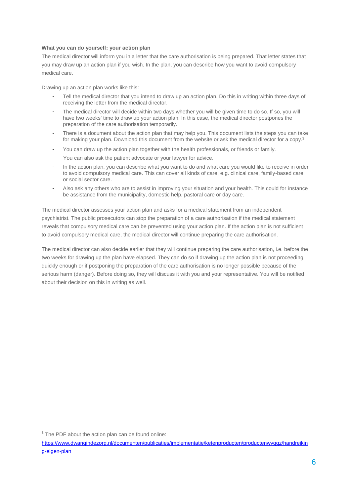## **What you can do yourself: your action plan**

The medical director will inform you in a letter that the care authorisation is being prepared. That letter states that you may draw up an action plan if you wish. In the plan, you can describe how you want to avoid compulsory medical care.

Drawing up an action plan works like this:

- Tell the medical director that you intend to draw up an action plan. Do this in writing within three days of receiving the letter from the medical director.
- The medical director will decide within two days whether you will be given time to do so. If so, you will have two weeks' time to draw up your action plan. In this case, the medical director postpones the preparation of the care authorisation temporarily.
- There is a document about the action plan that may help you. This document lists the steps you can take for making your plan. Download this document from the website or ask the medical director for a copy.<sup>3</sup>
- You can draw up the action plan together with the health professionals, or friends or family. You can also ask the patient advocate or your lawyer for advice.
- In the action plan, you can describe what you want to do and what care you would like to receive in order to avoid compulsory medical care. This can cover all kinds of care, e.g. clinical care, family-based care or social sector care.
- Also ask any others who are to assist in improving your situation and your health. This could for instance be assistance from the municipality, domestic help, pastoral care or day care.

The medical director assesses your action plan and asks for a medical statement from an independent psychiatrist. The public prosecutors can stop the preparation of a care authorisation if the medical statement reveals that compulsory medical care can be prevented using your action plan. If the action plan is not sufficient to avoid compulsory medical care, the medical director will continue preparing the care authorisation.

The medical director can also decide earlier that they will continue preparing the care authorisation, i.e. before the two weeks for drawing up the plan have elapsed. They can do so if drawing up the action plan is not proceeding quickly enough or if postponing the preparation of the care authorisation is no longer possible because of the serious harm (danger). Before doing so, they will discuss it with you and your representative. You will be notified about their decision on this in writing as well.

 $\overline{a}$ 

<sup>&</sup>lt;sup>3</sup> The PDF about the action plan can be found online:

https://www.dwangindezorg.nl/documenten/publicaties/implementatie/ketenproducten/productenwvggz/handreikin g-eigen-plan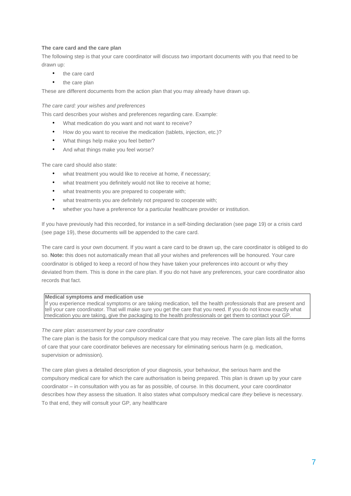## **The care card and the care plan**

The following step is that your care coordinator will discuss two important documents with you that need to be drawn up:

- the care card
- the care plan

These are different documents from the action plan that you may already have drawn up.

#### *The care card: your wishes and preferences*

This card describes your wishes and preferences regarding care. Example:

- What medication do you want and not want to receive?
- How do you want to receive the medication (tablets, injection, etc.)?
- What things help make you feel better?
- And what things make you feel worse?

The care card should also state:

- what treatment you would like to receive at home, if necessary;
- what treatment you definitely would not like to receive at home;
- what treatments you are prepared to cooperate with;
- what treatments you are definitely not prepared to cooperate with;
- whether you have a preference for a particular healthcare provider or institution.

If you have previously had this recorded, for instance in a self-binding declaration (see page 19) or a crisis card (see page 19), these documents will be appended to the care card.

The care card is your own document. If you want a care card to be drawn up, the care coordinator is obliged to do so. **Note:** this does not automatically mean that all your wishes and preferences will be honoured. Your care coordinator is obliged to keep a record of how they have taken your preferences into account or why they deviated from them. This is done in the care plan. If you do not have any preferences, your care coordinator also records that fact.

## **Medical symptoms and medication use**

If you experience medical symptoms or are taking medication, tell the health professionals that are present and tell your care coordinator. That will make sure you get the care that you need. If you do not know exactly what medication you are taking, give the packaging to the health professionals or get them to contact your GP.

#### *The care plan: assessment by your care coordinator*

The care plan is the basis for the compulsory medical care that you may receive. The care plan lists all the forms of care that your care coordinator believes are necessary for eliminating serious harm (e.g. medication, supervision or admission).

The care plan gives a detailed description of your diagnosis, your behaviour, the serious harm and the compulsory medical care for which the care authorisation is being prepared. This plan is drawn up by your care coordinator – in consultation with you as far as possible, of course. In this document, your care coordinator describes how *they* assess the situation. It also states what compulsory medical care *they* believe is necessary. To that end, they will consult your GP, any healthcare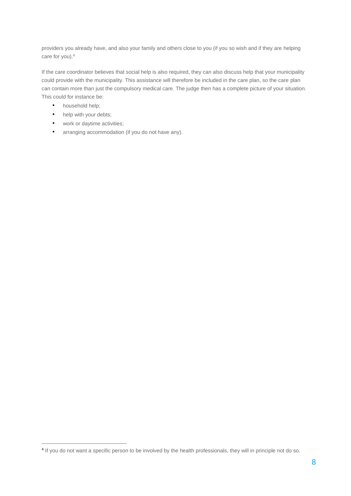providers you already have, and also your family and others close to you (if you so wish and if they are helping care for you).<sup>4</sup>

If the care coordinator believes that social help is also required, they can also discuss help that your municipality could provide with the municipality. This assistance will therefore be included in the care plan, so the care plan can contain more than just the compulsory medical care. The judge then has a complete picture of your situation. This could for instance be:

• household help;

 $\overline{a}$ 

- help with your debts;
- work or daytime activities;
- arranging accommodation (if you do not have any).

<sup>&</sup>lt;sup>4</sup> If you do not want a specific person to be involved by the health professionals, they will in principle not do so.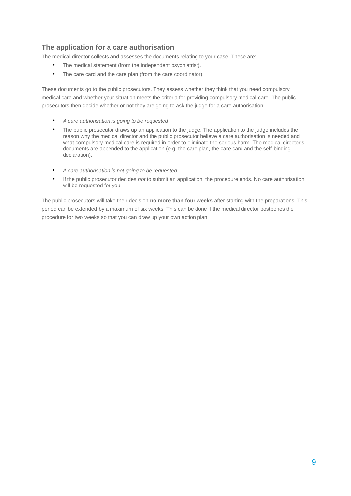# **The application for a care authorisation**

The medical director collects and assesses the documents relating to your case. These are:

- The medical statement (from the independent psychiatrist).
- The care card and the care plan (from the care coordinator).

These documents go to the public prosecutors. They assess whether they think that you need compulsory medical care and whether your situation meets the criteria for providing compulsory medical care. The public prosecutors then decide whether or not they are going to ask the judge for a care authorisation:

- *A care authorisation is going to be requested*
- The public prosecutor draws up an application to the judge. The application to the judge includes the reason why the medical director and the public prosecutor believe a care authorisation is needed and what compulsory medical care is required in order to eliminate the serious harm. The medical director's documents are appended to the application (e.g. the care plan, the care card and the self-binding declaration).
- *A care authorisation is not going to be requested*
- If the public prosecutor decides *not* to submit an application, the procedure ends. No care authorisation will be requested for you.

The public prosecutors will take their decision **no more than four weeks** after starting with the preparations. This period can be extended by a maximum of six weeks. This can be done if the medical director postpones the procedure for two weeks so that you can draw up your own action plan.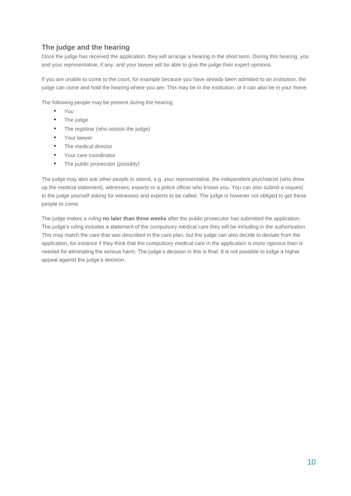# **The judge and the hearing**

Once the judge has received the application, they will arrange a hearing in the short term. During this hearing, you and your representative, if any, and your lawyer will be able to give the judge their expert opinions.

If you are unable to come to the court, for example because you have already been admitted to an institution, the judge can come and hold the hearing where you are. This may be in the institution, or it can also be in your home.

The following people may be present during the hearing:

- You
- The judge
- The registrar (who assists the judge)
- Your lawyer
- The medical director
- Your care coordinator
- The public prosecutor (possibly)

The judge may also ask other people to attend, e.g. your representative, the independent psychiatrist (who drew up the medical statement), witnesses, experts or a police officer who knows you. You can also submit a request to the judge yourself asking for witnesses and experts to be called. The judge is however not obliged to get these people to come.

The judge makes a ruling **no later than three weeks** after the public prosecutor has submitted the application. The judge's ruling includes a statement of the compulsory medical care they will be including in the authorisation. This may match the care that was described in the care plan, but the judge can also decide to deviate from the application, for instance if they think that the compulsory medical care in the application is more rigorous than is needed for eliminating the serious harm. The judge's decision in this is final. It is not possible to lodge a higher appeal against the judge's decision.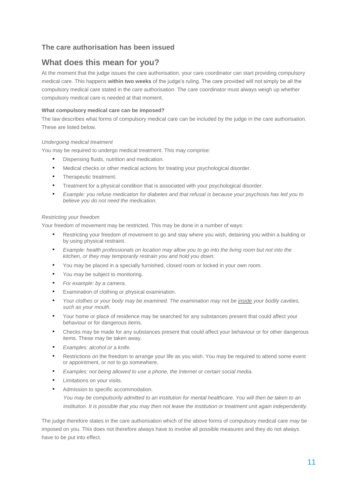# **The care authorisation has been issued**

# **What does this mean for you?**

At the moment that the judge issues the care authorisation, your care coordinator can start providing compulsory medical care. This happens **within two weeks** of the judge's ruling. The care provided will not simply be all the compulsory medical care stated in the care authorisation. The care coordinator must always weigh up whether compulsory medical care is needed at that moment.

# **What compulsory medical care can be imposed?**

The law describes what forms of compulsory medical care can be included by the judge in the care authorisation. These are listed below.

# *Undergoing medical treatment*

You may be required to undergo medical treatment. This may comprise:

- Dispensing fluids, nutrition and medication.
- Medical checks or other medical actions for treating your psychological disorder.
- Therapeutic treatment.
- Treatment for a physical condition that is associated with your psychological disorder.
- *Example: you refuse medication for diabetes and that refusal is because your psychosis has led you to believe you do not need the medication.*

## *Restricting your freedom*

Your freedom of movement may be restricted. This may be done in a number of ways:

- Restricting your freedom of movement to go and stay where you wish, detaining you within a building or by using physical restraint.
- *Example: health professionals on location may allow you to go into the living room but not into the kitchen, or they may temporarily restrain you and hold you down.*
- You may be placed in a specially furnished, closed room or locked in your own room.
- You may be subject to monitoring.
- *For example: by a camera.*
- Examination of clothing or physical examination.
- *Your clothes or your body may be examined. The examination may not be inside your bodily cavities, such as your mouth.*
- Your home or place of residence may be searched for any substances present that could affect your behaviour or for dangerous items.
- Checks may be made for any substances present that could affect your behaviour or for other dangerous items. These may be taken away.
- *Examples: alcohol or a knife.*
- Restrictions on the freedom to arrange your life as you wish. You may be required to attend some event or appointment, or not to go somewhere.
- *Examples: not being allowed to use a phone, the Internet or certain social media.*
- Limitations on your visits.
- Admission to specific accommodation.

*You may be compulsorily admitted to an institution for mental healthcare. You will then be taken to an institution. It is possible that you may then not leave the institution or treatment unit again independently.* 

The judge therefore states in the care authorisation which of the above forms of compulsory medical care *may* be imposed on you. This does not therefore always have to involve all possible measures and they do not always have to be put into effect.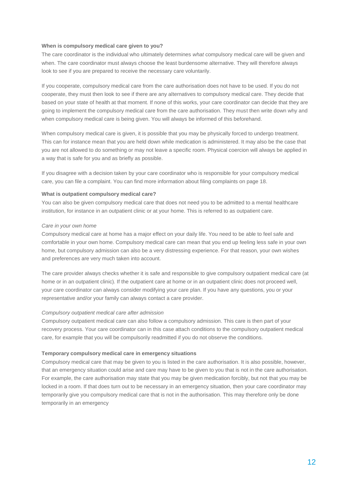#### **When is compulsory medical care given to you?**

The care coordinator is the individual who ultimately determines *what* compulsory medical care will be given and when. The care coordinator must always choose the least burdensome alternative. They will therefore always look to see if you are prepared to receive the necessary care voluntarily.

If you cooperate, compulsory medical care from the care authorisation does not have to be used. If you do not cooperate, they must then look to see if there are any alternatives to compulsory medical care. They decide that based on your state of health at that moment. If none of this works, your care coordinator can decide that they are going to implement the compulsory medical care from the care authorisation. They must then write down why and when compulsory medical care is being given. You will always be informed of this beforehand.

When compulsory medical care is given, it is possible that you may be physically forced to undergo treatment. This can for instance mean that you are held down while medication is administered. It may also be the case that you are not allowed to do something or may not leave a specific room. Physical coercion will always be applied in a way that is safe for you and as briefly as possible.

If you disagree with a decision taken by your care coordinator who is responsible for your compulsory medical care, you can file a complaint. You can find more information about filing complaints on page 18.

#### **What is outpatient compulsory medical care?**

You can also be given compulsory medical care that does not need you to be admitted to a mental healthcare institution, for instance in an outpatient clinic or at your home. This is referred to as outpatient care.

#### *Care in your own home*

Compulsory medical care at home has a major effect on your daily life. You need to be able to feel safe and comfortable in your own home. Compulsory medical care can mean that you end up feeling less safe in your own home, but compulsory admission can also be a very distressing experience. For that reason, your own wishes and preferences are very much taken into account.

The care provider always checks whether it is safe and responsible to give compulsory outpatient medical care (at home or in an outpatient clinic). If the outpatient care at home or in an outpatient clinic does not proceed well, your care coordinator can always consider modifying your care plan. If you have any questions, you or your representative and/or your family can always contact a care provider.

#### *Compulsory outpatient medical care after admission*

Compulsory outpatient medical care can also follow a compulsory admission. This care is then part of your recovery process. Your care coordinator can in this case attach conditions to the compulsory outpatient medical care, for example that you will be compulsorily readmitted if you do not observe the conditions.

#### **Temporary compulsory medical care in emergency situations**

Compulsory medical care that may be given to you is listed in the care authorisation. It is also possible, however, that an emergency situation could arise and care may have to be given to you that is not in the care authorisation. For example, the care authorisation may state that you may be given medication forcibly, but not that you may be locked in a room. If that does turn out to be necessary in an emergency situation, then your care coordinator may temporarily give you compulsory medical care that is not in the authorisation. This may therefore only be done temporarily in an emergency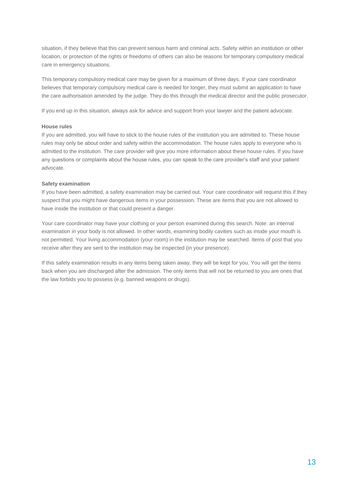situation, if they believe that this can prevent serious harm and criminal acts. Safety within an institution or other location, or protection of the rights or freedoms of others can also be reasons for temporary compulsory medical care in emergency situations.

This temporary compulsory medical care may be given for a maximum of three days. If your care coordinator believes that temporary compulsory medical care is needed for longer, they must submit an application to have the care authorisation amended by the judge. They do this through the medical director and the public prosecutor.

If you end up in this situation, always ask for advice and support from your lawyer and the patient advocate.

## **House rules**

If you are admitted, you will have to stick to the house rules of the institution you are admitted to. These house rules may only be about order and safety within the accommodation. The house rules apply to everyone who is admitted to the institution. The care provider will give you more information about these house rules. If you have any questions or complaints about the house rules, you can speak to the care provider's staff and your patient advocate.

#### **Safety examination**

If you have been admitted, a safety examination may be carried out. Your care coordinator will request this if they suspect that you might have dangerous items in your possession. These are items that you are not allowed to have inside the institution or that could present a danger.

Your care coordinator may have your clothing or your person examined during this search. Note: an internal examination *in* your body is not allowed. In other words, examining bodily cavities such as inside your mouth is not permitted. Your living accommodation (your room) in the institution may be searched. Items of post that you receive after they are sent to the institution may be inspected (in your presence).

If this safety examination results in any items being taken away, they will be kept for you. You will get the items back when you are discharged after the admission. The only items that will not be returned to you are ones that the law forbids you to possess (e.g. banned weapons or drugs).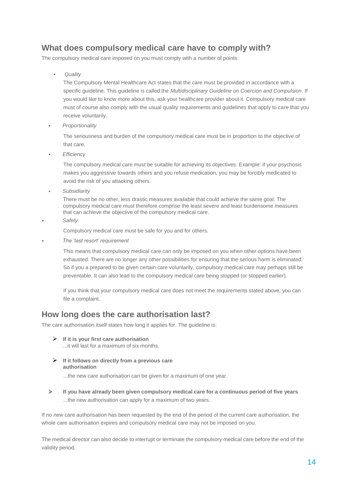# **What does compulsory medical care have to comply with?**

The compulsory medical care imposed on you must comply with a number of points:

•*Quality* 

> The Compulsory Mental Healthcare Act states that the care must be provided in accordance with a specific guideline. This guideline is called the *Multidisciplinary Guideline on Coercion and Compulsion*. If you would like to know more about this, ask your healthcare provider about it. Compulsory medical care must of course also comply with the usual quality requirements and guidelines that apply to care that you receive voluntarily.

• *Proportionality* 

The seriousness and burden of the compulsory medical care must be in proportion to the objective of that care.

• *Efficiency*

The compulsory medical care must be suitable for achieving its objectives. Example: if your psychosis makes you aggressive towards others and you refuse medication, you may be forcibly medicated to avoid the risk of you attacking others.

• *Subsidiarity* 

There must be no other, less drastic measures available that could achieve the same goal. The compulsory medical care must therefore comprise the least severe and least burdensome measures that can achieve the objective of the compulsory medical care.

• *Safety*

Compulsory medical care must be safe for you and for others.

• *The 'last resort' requirement*

This means that compulsory medical care can only be imposed on you when other options have been exhausted. There are no longer any other possibilities for ensuring that the serious harm is eliminated. So if you a prepared to be given certain care voluntarily, compulsory medical care may perhaps still be preventable. It can also lead to the compulsory medical care being stopped (or stopped earlier).

If you think that your compulsory medical care does not meet the requirements stated above, you can file a complaint.

# **How long does the care authorisation last?**

The care authorisation itself states how long it applies for. The guideline is:

- **If it is your first care authorisation** ...it will last for a maximum of six months.
- **If it follows on directly from a previous care authorisation**

...the new care authorisation can be given for a maximum of one year.

 **If you have already been given compulsory medical care for a continuous period of five years**  ...the new authorisation can apply for a maximum of two years.

If no new care authorisation has been requested by the end of the period of the current care authorisation, the whole care authorisation expires and compulsory medical care may not be imposed on you.

The medical director can also decide to interrupt or terminate the compulsory medical care before the end of the validity period.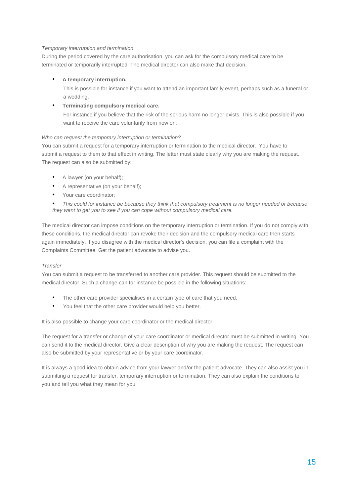## *Temporary interruption and termination*

During the period covered by the care authorisation, you can ask for the compulsory medical care to be terminated or temporarily interrupted. The medical director can also make that decision.

# • **A temporary interruption.**

This is possible for instance if you want to attend an important family event, perhaps such as a funeral or a wedding.

# • **Terminating compulsory medical care.**

For instance if you believe that the risk of the serious harm no longer exists. This is also possible if you want to receive the care voluntarily from now on.

## *Who can request the temporary interruption or termination?*

You can submit a request for a temporary interruption or termination to the medical director. You have to submit a request to them to that effect in writing. The letter must state clearly why you are making the request. The request can also be submitted by:

- A lawyer (on your behalf);
- A representative (on your behalf);
- Your care coordinator;

• *This could for instance be because they think that compulsory treatment is no longer needed or because they want to get you to see if you can cope without compulsory medical care.*

The medical director can impose conditions on the temporary interruption or termination. If you do not comply with these conditions, the medical director can revoke their decision and the compulsory medical care then starts again immediately. If you disagree with the medical director's decision, you can file a complaint with the Complaints Committee. Get the patient advocate to advise you.

## *Transfer*

You can submit a request to be transferred to another care provider. This request should be submitted to the medical director. Such a change can for instance be possible in the following situations:

- The other care provider specialises in a certain type of care that you need.
- You feel that the other care provider would help you better.

It is also possible to change your care coordinator or the medical director.

The request for a transfer or change of your care coordinator or medical director must be submitted in writing. You can send it to the medical director. Give a clear description of why you are making the request. The request can also be submitted by your representative or by your care coordinator.

It is always a good idea to obtain advice from your lawyer and/or the patient advocate. They can also assist you in submitting a request for transfer, temporary interruption or termination. They can also explain the conditions to you and tell you what they mean for you.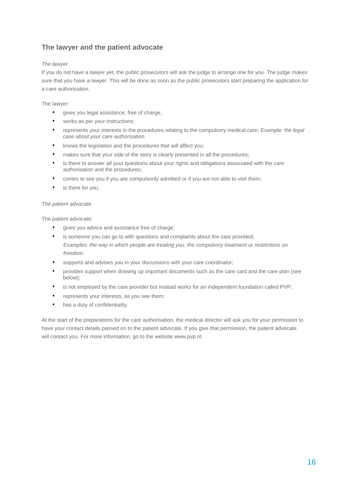# **The lawyer and the patient advocate**

# *The lawyer*

If you do not have a lawyer yet, the public prosecutors will ask the judge to arrange one for you. The judge makes sure that you have a lawyer. This will be done as soon as the public prosecutors start preparing the application for a care authorisation.

The lawyer:

- gives you legal assistance, free of charge;
- works as per your instructions;
- represents your interests in the procedures relating to the compulsory medical care; *Example: the legal case about your care authorisation.*
- knows the legislation and the procedures that will affect you;
- makes sure that your side of the story is clearly presented in all the procedures;
- is there to answer all your questions about your rights and obligations associated with the care authorisation and the procedures;
- comes to see you if you are compulsorily admitted or if you are not able to visit them;
- is there for you.

# *The patient advocate*

The patient advocate:

- gives you advice and assistance free of charge;
- is someone you can go to with questions and complaints about the care provided; *Examples: the way in which people are treating you, the compulsory treatment or restrictions on freedom.*
- supports and advises you in your discussions with your care coordinator;
- provides support when drawing up important documents such as the care card and the care plan (see below);
- is not employed by the care provider but instead works for an independent foundation called PVP;
- represents your interests, as you see them;
- has a duty of confidentiality.

At the start of the preparations for the care authorisation, the medical director will ask you for your permission to have your contact details passed on to the patient advocate. If you give that permission, the patient advocate will contact you. For more information, go to the website www.pvp.nl.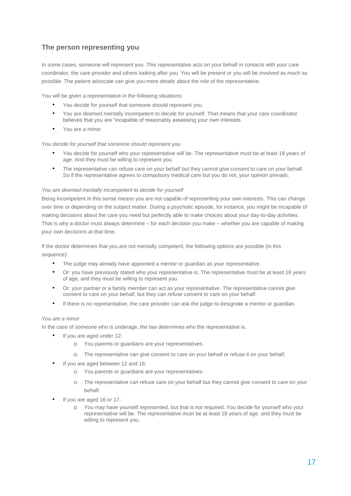# **The person representing you**

In some cases, someone will represent you. This representative acts on your behalf in contacts with your care coordinator, the care provider and others looking after you. You will be present or you will be involved as much as possible. The patient advocate can give you more details about the role of the representative.

You will be given a representative in the following situations:

- You decide for yourself that someone should represent you.
- You are deemed mentally incompetent to decide for yourself. That means that your care coordinator believes that you are "incapable of reasonably assessing your own interests.
- You are a minor.

#### *You decide for yourself that someone should represent you*

- You decide for yourself who your representative will be. The representative must be at least 18 years of age. And they must be willing to represent you.
- The representative can refuse care on your behalf but they cannot give consent to care on your behalf. So if the representative agrees to compulsory medical care but you do not, your opinion prevails.

#### *You are deemed mentally incompetent to decide for yourself*

Being incompetent in this sense means you are not capable of representing your own interests. This can change over time or depending on the subject matter. During a psychotic episode, for instance, you might be incapable of making decisions about the care you need but perfectly able to make choices about your day-to-day activities. That is why a doctor must always determine – for each decision you make – whether you are capable of making your own decisions at that time.

If the doctor determines that you are not mentally competent, the following options are possible (in this sequence):

- The judge may already have appointed a mentor or guardian as your representative.
- Or: you have previously stated who your representative is. The representative must be at least 18 years of age, and they must be willing to represent you.
- Or: your partner or a family member can act as your representative. The representative cannot give consent to care on your behalf, but they can *refuse* consent to care on your behalf.
- If there is no representative, the care provider can ask the judge to designate a mentor or guardian.

#### *You are a minor*

In the case of someone who is underage, the law determines who the representative is.

- If you are aged under 12:
	- o You parents or guardians are your representatives.
	- o The representative can give consent to care on your behalf or refuse it on your behalf.
- If you are aged between 12 and 16:
	- o You parents or guardians are your representatives.
	- o The representative can refuse care on your behalf but they cannot give consent to care on your behalf.
- If you are aged 16 or 17:
	- o You may have yourself represented, but that is not required. You decide for yourself who your representative will be. The representative must be at least 18 years of age. and they must be willing to represent you.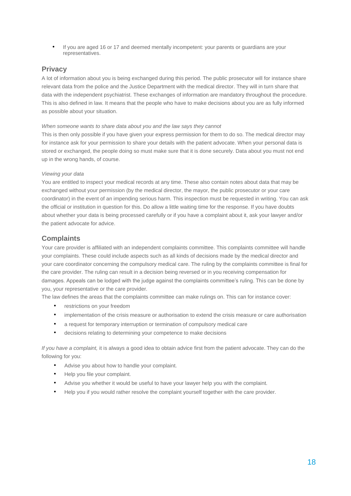• If you are aged 16 or 17 and deemed mentally incompetent: your parents or guardians are your representatives.

# **Privacy**

A lot of information about you is being exchanged during this period. The public prosecutor will for instance share relevant data from the police and the Justice Department with the medical director. They will in turn share that data with the independent psychiatrist. These exchanges of information are mandatory throughout the procedure. This is also defined in law. It means that the people who have to make decisions about you are as fully informed as possible about your situation.

## *When someone wants to share data about you and the law says they cannot*

This is then only possible if you have given your express permission for them to do so. The medical director may for instance ask for your permission to share your details with the patient advocate. When your personal data is stored or exchanged, the people doing so must make sure that it is done securely. Data about you must not end up in the wrong hands, of course.

## *Viewing your data*

You are entitled to inspect your medical records at any time. These also contain notes about data that may be exchanged without your permission (by the medical director, the mayor, the public prosecutor or your care coordinator) in the event of an impending serious harm. This inspection must be requested in writing. You can ask the official or institution in question for this. Do allow a little waiting time for the response. If you have doubts about whether your data is being processed carefully or if you have a complaint about it, ask your lawyer and/or the patient advocate for advice.

# **Complaints**

Your care provider is affiliated with an independent complaints committee. This complaints committee will handle your complaints. These could include aspects such as all kinds of decisions made by the medical director and your care coordinator concerning the compulsory medical care. The ruling by the complaints committee is final for the care provider. The ruling can result in a decision being reversed or in you receiving compensation for damages. Appeals can be lodged with the judge against the complaints committee's ruling. This can be done by you, your representative or the care provider.

The law defines the areas that the complaints committee can make rulings on. This can for instance cover:

- restrictions on your freedom
- implementation of the crisis measure or authorisation to extend the crisis measure or care authorisation
- a request for temporary interruption or termination of compulsory medical care
- decisions relating to determining your competence to make decisions

*If you have a complaint,* it is always a good idea to obtain advice first from the patient advocate. They can do the following for you:

- Advise you about how to handle your complaint.
- Help you file your complaint.
- Advise you whether it would be useful to have your lawyer help you with the complaint.
- Help you if you would rather resolve the complaint yourself together with the care provider.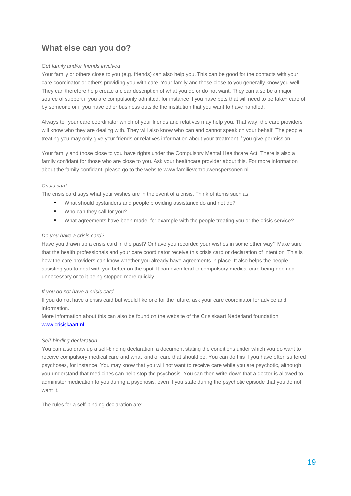# **What else can you do?**

## *Get family and/or friends involved*

Your family or others close to you (e.g. friends) can also help you. This can be good for the contacts with your care coordinator or others providing you with care. Your family and those close to you generally know you well. They can therefore help create a clear description of what you do or do not want. They can also be a major source of support if you are compulsorily admitted, for instance if you have pets that will need to be taken care of by someone or if you have other business outside the institution that you want to have handled.

Always tell your care coordinator which of your friends and relatives may help you. That way, the care providers will know who they are dealing with. They will also know who can and cannot speak on your behalf. The people treating you may only give your friends or relatives information about your treatment if you give permission.

Your family and those close to you have rights under the Compulsory Mental Healthcare Act. There is also a family confidant for those who are close to you. Ask your healthcare provider about this. For more information about the family confidant, please go to the website www.familievertrouwenspersonen.nl.

## *Crisis card*

The crisis card says what your wishes are in the event of a crisis. Think of items such as:

- What should bystanders and people providing assistance do and not do?
- Who can they call for you?
- What agreements have been made, for example with the people treating you or the crisis service?

## *Do you have a crisis card?*

Have you drawn up a crisis card in the past? Or have you recorded your wishes in some other way? Make sure that the health professionals and your care coordinator receive this crisis card or declaration of intention. This is how the care providers can know whether you already have agreements in place. It also helps the people assisting you to deal with you better on the spot. It can even lead to compulsory medical care being deemed unnecessary or to it being stopped more quickly.

## *If you do not have a crisis card*

If you do not have a crisis card but would like one for the future, ask your care coordinator for advice and information.

More information about this can also be found on the website of the Crisiskaart Nederland foundation, www.crisiskaart.nl.

## *Self-binding declaration*

You can also draw up a self-binding declaration, a document stating the conditions under which you do want to receive compulsory medical care and what kind of care that should be. You can do this if you have often suffered psychoses, for instance. You may know that you will not want to receive care while you are psychotic, although you understand that medicines can help stop the psychosis. You can then write down that a doctor is allowed to administer medication to you during a psychosis, even if you state during the psychotic episode that you do not want it.

The rules for a self-binding declaration are: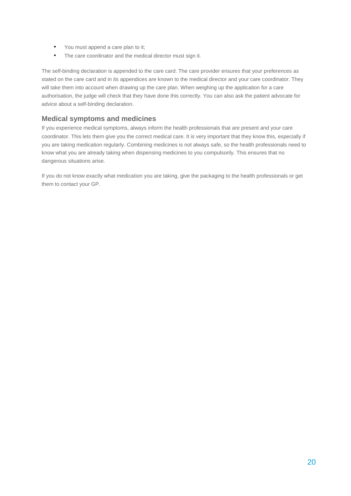- You must append a care plan to it;
- The care coordinator and the medical director must sign it.

The self-binding declaration is appended to the care card. The care provider ensures that your preferences as stated on the care card and in its appendices are known to the medical director and your care coordinator. They will take them into account when drawing up the care plan. When weighing up the application for a care authorisation, the judge will check that they have done this correctly. You can also ask the patient advocate for advice about a self-binding declaration.

# **Medical symptoms and medicines**

If you experience medical symptoms, always inform the health professionals that are present and your care coordinator. This lets them give you the correct medical care. It is very important that they know this, especially if you are taking medication regularly. Combining medicines is not always safe, so the health professionals need to know what you are already taking when dispensing medicines to you compulsorily. This ensures that no dangerous situations arise.

If you do not know exactly what medication you are taking, give the packaging to the health professionals or get them to contact your GP.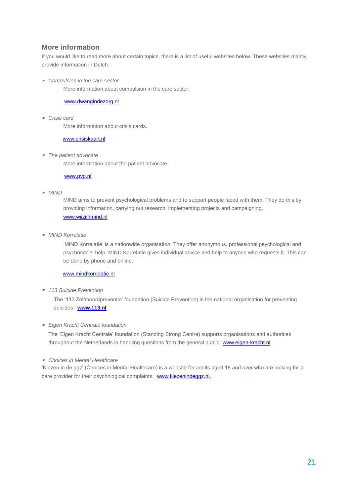# **More information**

If you would like to read more about certain topics, there is a list of useful websites below. These websites mainly provide information in Dutch.

*Compulsion in the care sector* 

More information about compulsion in the care sector.

# www.dwangindezorg.nl

*Crisis card*

More information about crisis cards.

www.crisiskaart.nl

*The patient advocate*

More information about the patient advocate.

www.pvp.nl

#### *MIND*

MIND aims to prevent psychological problems and to support people faced with them. They do this by providing information, carrying out research, implementing projects and campaigning. www.wijzijnmind.nl

*MIND Korrelatie* 

'MIND Korrelatie' is a nationwide organisation. They offer anonymous, professional psychological and psychosocial help. MIND Korrelatie gives individual advice and help to anyone who requests it. This can be done by phone and online.

# www.mindkorrelatie.nl

*113 Suicide Prevention*

The '113 Zelfmoordpreventie' foundation (Suicide Prevention) is the national organisation for preventing suicides. **www.113.nl** 

## *Eigen Kracht Centrale foundation*

The 'Eigen Kracht Centrale' foundation (Standing Strong Centre) supports organisations and authorities throughout the Netherlands in handling questions from the general public. www.eigen-kracht.nl

#### *Choices in Mental Healthcare*

'Kiezen in de ggz' (Choices in Mental Healthcare) is a website for adults aged 18 and over who are looking for a care provider for their psychological complaints. www.kiezenindeggz.nl.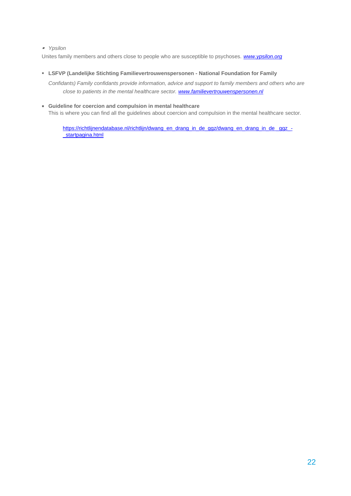## *Ypsilon*

Unites family members and others close to people who are susceptible to psychoses. *www.ypsilon.org* 

**LSFVP (Landelijke Stichting Familievertrouwenspersonen - National Foundation for Family** 

*Confidants) Family confidants provide information, advice and support to family members and others who are close to patients in the mental healthcare sector. www.familievertrouwenspersonen.nl* 

 **Guideline for coercion and compulsion in mental healthcare** This is where you can find all the guidelines about coercion and compulsion in the mental healthcare sector.

https://richtlijnendatabase.nl/richtlijn/dwang\_en\_drang\_in\_de\_ggz/dwang\_en\_drang\_in\_de\_ggz\_-\_startpagina.html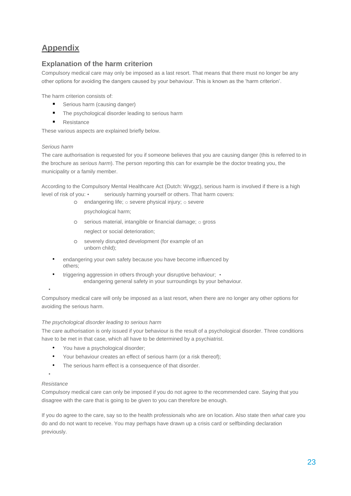# **Appendix**

# **Explanation of the harm criterion**

Compulsory medical care may only be imposed as a last resort. That means that there must no longer be any other options for avoiding the dangers caused by your behaviour. This is known as the 'harm criterion'.

The harm criterion consists of:

- **Serious harm (causing danger)**
- The psychological disorder leading to serious harm
- **Resistance**

These various aspects are explained briefly below.

# *Serious harm*

The care authorisation is requested for you if someone believes that you are causing danger (this is referred to in the brochure as *serious harm*). The person reporting this can for example be the doctor treating you, the municipality or a family member.

According to the Compulsory Mental Healthcare Act (Dutch: Wvggz), serious harm is involved if there is a high level of risk of you: • seriously harming yourself or others. That harm covers:

o endangering life; o severe physical injury; o severe

psychological harm;

- o serious material, intangible or financial damage; o gross neglect or social deterioration;
- o severely disrupted development (for example of an unborn child);
- endangering your own safety because you have become influenced by others;
- triggering aggression in others through your disruptive behaviour; endangering general safety in your surroundings by your behaviour.

# •

Compulsory medical care will only be imposed as a last resort, when there are no longer any other options for avoiding the serious harm.

# *The psychological disorder leading to serious harm*

The care authorisation is only issued if your behaviour is the result of a psychological disorder. Three conditions have to be met in that case, which all have to be determined by a psychiatrist.

- You have a psychological disorder;
- Your behaviour creates an effect of serious harm (or a risk thereof);
- The serious harm effect is a consequence of that disorder.

## •

## *Resistance*

Compulsory medical care can only be imposed if you do not agree to the recommended care. Saying that you disagree with the care that is going to be given to you can therefore be enough.

If you do agree to the care, say so to the health professionals who are on location. Also state then *what* care you do and do not want to receive. You may perhaps have drawn up a crisis card or selfbinding declaration previously.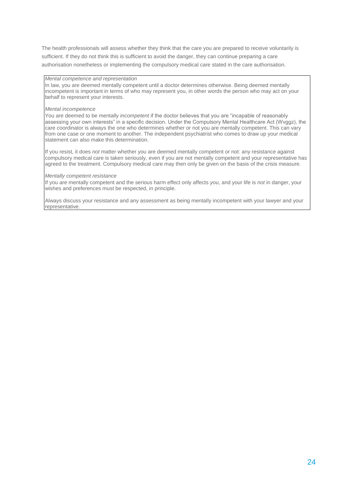The health professionals will assess whether they think that the care you are prepared to receive voluntarily is sufficient. If they do not think this is sufficient to avoid the danger, they can continue preparing a care authorisation nonetheless or implementing the compulsory medical care stated in the care authorisation.

## *Mental competence and representation*

In law, you are deemed mentally competent until a doctor determines otherwise. Being deemed mentally incompetent is important in terms of who may represent you, in other words the person who may act on your behalf to represent your interests.

#### *Mental incompetence*

You are deemed to be mentally *incompetent* if the doctor believes that you are "incapable of reasonably assessing your own interests" in a specific decision. Under the Compulsory Mental Healthcare Act (Wvggz), the care coordinator is always the one who determines whether or not you are mentally competent. This can vary from one case or one moment to another. The independent psychiatrist who comes to draw up your medical statement can also make this determination.

If you resist, it does *not* matter whether you are deemed mentally competent or not: any resistance against compulsory medical care is taken seriously, even if you are not mentally competent and your representative has agreed to the treatment. Compulsory medical care may then only be given on the basis of the crisis measure.

#### *Mentally competent resistance*

If you *are* mentally competent and the serious harm effect only affects *you*, and your life is *not* in danger, your wishes and preferences must be respected, in principle.

Always discuss your resistance and any assessment as being mentally incompetent with your lawyer and your representative.